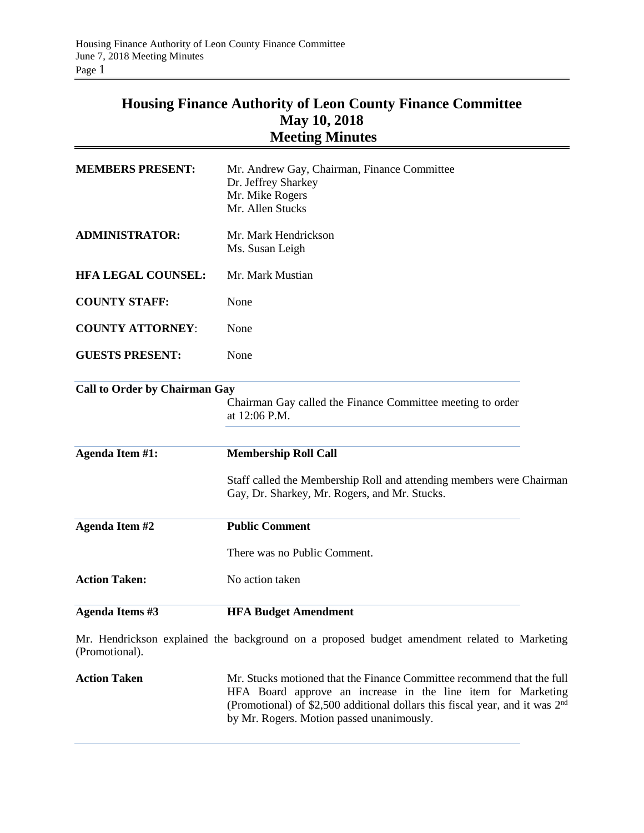## **Housing Finance Authority of Leon County Finance Committee May 10, 2018 Meeting Minutes**

| Agenda Items #3                      | <b>HFA Budget Amendment</b>                                                                                           |  |
|--------------------------------------|-----------------------------------------------------------------------------------------------------------------------|--|
| <b>Action Taken:</b>                 | No action taken                                                                                                       |  |
|                                      | There was no Public Comment.                                                                                          |  |
| Agenda Item #2                       | <b>Public Comment</b>                                                                                                 |  |
|                                      | Staff called the Membership Roll and attending members were Chairman<br>Gay, Dr. Sharkey, Mr. Rogers, and Mr. Stucks. |  |
| Agenda Item #1:                      | <b>Membership Roll Call</b>                                                                                           |  |
| <b>Call to Order by Chairman Gay</b> | Chairman Gay called the Finance Committee meeting to order<br>at 12:06 P.M.                                           |  |
| <b>GUESTS PRESENT:</b>               | None                                                                                                                  |  |
| <b>COUNTY ATTORNEY:</b>              | None                                                                                                                  |  |
| <b>COUNTY STAFF:</b>                 | None                                                                                                                  |  |
| <b>HFA LEGAL COUNSEL:</b>            | Mr. Mark Mustian                                                                                                      |  |
| <b>ADMINISTRATOR:</b>                | Mr. Mark Hendrickson<br>Ms. Susan Leigh                                                                               |  |
| <b>MEMBERS PRESENT:</b>              | Mr. Andrew Gay, Chairman, Finance Committee<br>Dr. Jeffrey Sharkey<br>Mr. Mike Rogers<br>Mr. Allen Stucks             |  |

Mr. Hendrickson explained the background on a proposed budget amendment related to Marketing (Promotional).

Action Taken Mr. Stucks motioned that the Finance Committee recommend that the full HFA Board approve an increase in the line item for Marketing (Promotional) of \$2,500 additional dollars this fiscal year, and it was  $2<sup>nd</sup>$ by Mr. Rogers. Motion passed unanimously.